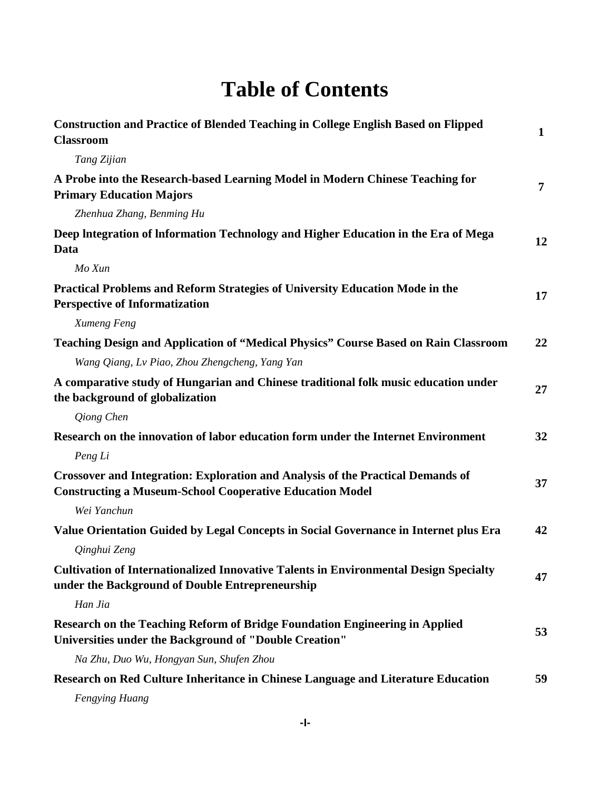## **Table of Contents**

| <b>Construction and Practice of Blended Teaching in College English Based on Flipped</b><br><b>Classroom</b>                                              | $\mathbf{1}$   |
|-----------------------------------------------------------------------------------------------------------------------------------------------------------|----------------|
| Tang Zijian                                                                                                                                               |                |
| A Probe into the Research-based Learning Model in Modern Chinese Teaching for<br><b>Primary Education Majors</b>                                          | $\overline{7}$ |
| Zhenhua Zhang, Benming Hu                                                                                                                                 |                |
| Deep Integration of Information Technology and Higher Education in the Era of Mega<br>Data                                                                | 12             |
| Mo Xun                                                                                                                                                    |                |
| Practical Problems and Reform Strategies of University Education Mode in the<br><b>Perspective of Informatization</b>                                     | 17             |
| Xumeng Feng                                                                                                                                               |                |
| Teaching Design and Application of "Medical Physics" Course Based on Rain Classroom                                                                       | 22             |
| Wang Qiang, Lv Piao, Zhou Zhengcheng, Yang Yan                                                                                                            |                |
| A comparative study of Hungarian and Chinese traditional folk music education under<br>the background of globalization                                    | 27             |
| Qiong Chen                                                                                                                                                |                |
| Research on the innovation of labor education form under the Internet Environment<br>Peng Li                                                              | 32             |
| <b>Crossover and Integration: Exploration and Analysis of the Practical Demands of</b><br><b>Constructing a Museum-School Cooperative Education Model</b> | 37             |
| Wei Yanchun                                                                                                                                               |                |
| Value Orientation Guided by Legal Concepts in Social Governance in Internet plus Era                                                                      | 42             |
| Qinghui Zeng                                                                                                                                              |                |
| <b>Cultivation of Internationalized Innovative Talents in Environmental Design Specialty</b><br>under the Background of Double Entrepreneurship           | 47             |
| Han Jia                                                                                                                                                   |                |
| Research on the Teaching Reform of Bridge Foundation Engineering in Applied<br>Universities under the Background of "Double Creation"                     | 53             |
| Na Zhu, Duo Wu, Hongyan Sun, Shufen Zhou                                                                                                                  |                |
| Research on Red Culture Inheritance in Chinese Language and Literature Education                                                                          | 59             |

*Fengying Huang*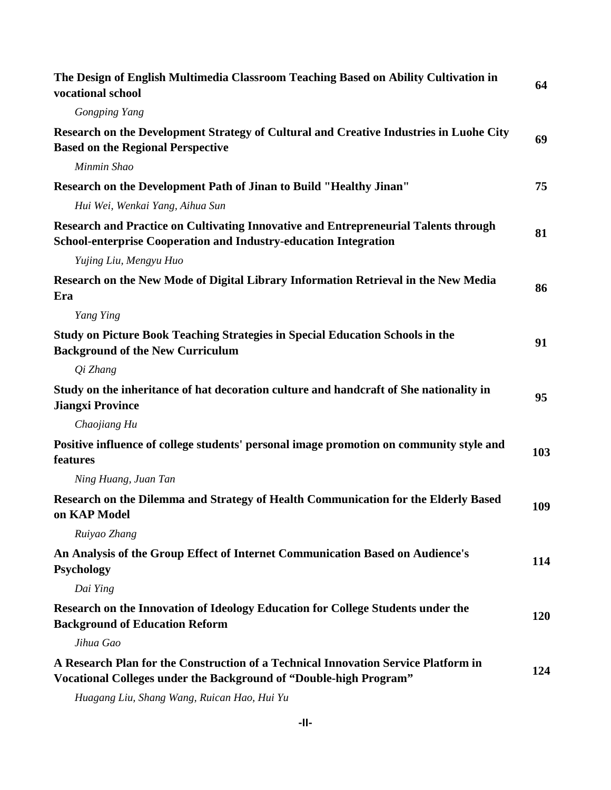| The Design of English Multimedia Classroom Teaching Based on Ability Cultivation in<br>vocational school                                                       | 64  |
|----------------------------------------------------------------------------------------------------------------------------------------------------------------|-----|
| <b>Gongping Yang</b>                                                                                                                                           |     |
| Research on the Development Strategy of Cultural and Creative Industries in Luohe City<br><b>Based on the Regional Perspective</b>                             | 69  |
| Minmin Shao                                                                                                                                                    |     |
| Research on the Development Path of Jinan to Build "Healthy Jinan"<br>Hui Wei, Wenkai Yang, Aihua Sun                                                          | 75  |
| Research and Practice on Cultivating Innovative and Entrepreneurial Talents through<br><b>School-enterprise Cooperation and Industry-education Integration</b> | 81  |
| Yujing Liu, Mengyu Huo                                                                                                                                         |     |
| Research on the New Mode of Digital Library Information Retrieval in the New Media<br>Era                                                                      | 86  |
| Yang Ying                                                                                                                                                      |     |
| Study on Picture Book Teaching Strategies in Special Education Schools in the<br><b>Background of the New Curriculum</b>                                       | 91  |
| Qi Zhang                                                                                                                                                       |     |
| Study on the inheritance of hat decoration culture and handcraft of She nationality in<br><b>Jiangxi Province</b>                                              | 95  |
| Chaojiang Hu                                                                                                                                                   |     |
| Positive influence of college students' personal image promotion on community style and<br>features                                                            | 103 |
| Ning Huang, Juan Tan                                                                                                                                           |     |
| Research on the Dilemma and Strategy of Health Communication for the Elderly Based<br>on KAP Model                                                             | 109 |
| Ruiyao Zhang                                                                                                                                                   |     |
| An Analysis of the Group Effect of Internet Communication Based on Audience's<br><b>Psychology</b>                                                             | 114 |
| Dai Ying                                                                                                                                                       |     |
| Research on the Innovation of Ideology Education for College Students under the<br><b>Background of Education Reform</b>                                       | 120 |
| Jihua Gao                                                                                                                                                      |     |
| A Research Plan for the Construction of a Technical Innovation Service Platform in<br><b>Vocational Colleges under the Background of "Double-high Program"</b> | 124 |
|                                                                                                                                                                |     |

*Huagang Liu, Shang Wang, Ruican Hao, Hui Yu*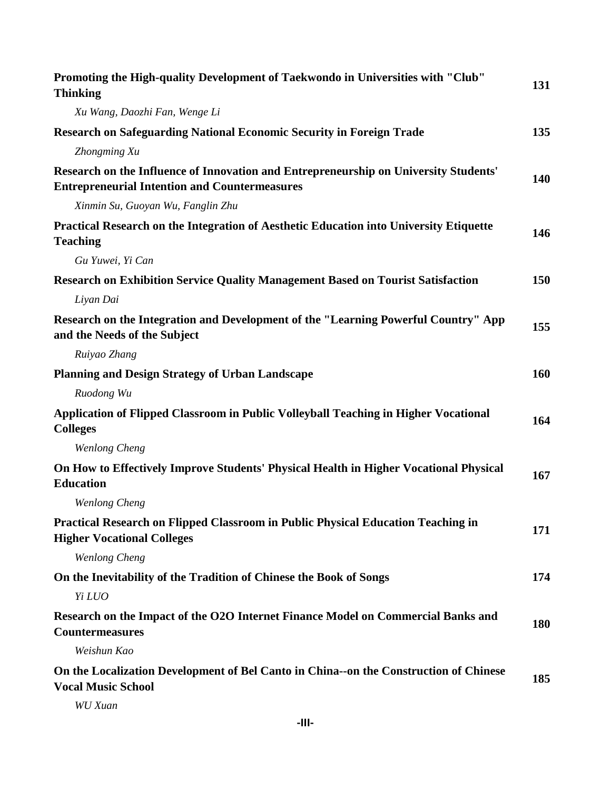| Promoting the High-quality Development of Taekwondo in Universities with "Club"<br><b>Thinking</b>                                           | 131        |
|----------------------------------------------------------------------------------------------------------------------------------------------|------------|
| Xu Wang, Daozhi Fan, Wenge Li                                                                                                                |            |
| <b>Research on Safeguarding National Economic Security in Foreign Trade</b>                                                                  | 135        |
| Zhongming Xu                                                                                                                                 |            |
| Research on the Influence of Innovation and Entrepreneurship on University Students'<br><b>Entrepreneurial Intention and Countermeasures</b> | 140        |
| Xinmin Su, Guoyan Wu, Fanglin Zhu                                                                                                            |            |
| Practical Research on the Integration of Aesthetic Education into University Etiquette<br><b>Teaching</b>                                    | 146        |
| Gu Yuwei, Yi Can                                                                                                                             |            |
| <b>Research on Exhibition Service Quality Management Based on Tourist Satisfaction</b>                                                       | 150        |
| Liyan Dai                                                                                                                                    |            |
| Research on the Integration and Development of the "Learning Powerful Country" App<br>and the Needs of the Subject                           | 155        |
| Ruiyao Zhang                                                                                                                                 |            |
| <b>Planning and Design Strategy of Urban Landscape</b>                                                                                       | 160        |
| Ruodong Wu                                                                                                                                   |            |
| Application of Flipped Classroom in Public Volleyball Teaching in Higher Vocational<br><b>Colleges</b>                                       | 164        |
| <b>Wenlong Cheng</b>                                                                                                                         |            |
| On How to Effectively Improve Students' Physical Health in Higher Vocational Physical<br><b>Education</b>                                    | 167        |
| <b>Wenlong Cheng</b>                                                                                                                         |            |
| Practical Research on Flipped Classroom in Public Physical Education Teaching in<br><b>Higher Vocational Colleges</b>                        | 171        |
| <b>Wenlong Cheng</b>                                                                                                                         |            |
| On the Inevitability of the Tradition of Chinese the Book of Songs                                                                           | 174        |
| Yi LUO                                                                                                                                       |            |
| Research on the Impact of the O2O Internet Finance Model on Commercial Banks and<br><b>Countermeasures</b>                                   | <b>180</b> |
| Weishun Kao                                                                                                                                  |            |
| On the Localization Development of Bel Canto in China--on the Construction of Chinese<br><b>Vocal Music School</b>                           | 185        |
| <b>WU</b> Xuan                                                                                                                               |            |

**-III-**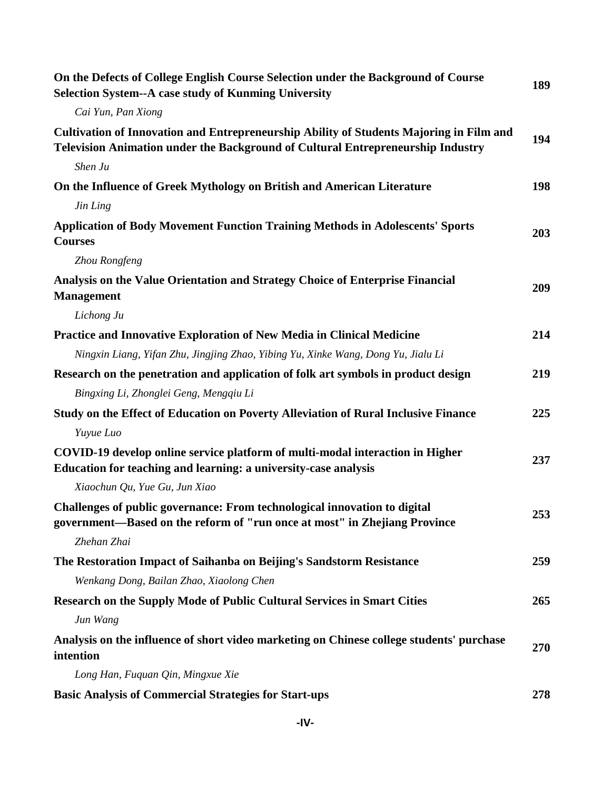| On the Defects of College English Course Selection under the Background of Course<br><b>Selection System--A case study of Kunming University</b>                           | 189 |
|----------------------------------------------------------------------------------------------------------------------------------------------------------------------------|-----|
| Cai Yun, Pan Xiong                                                                                                                                                         |     |
| Cultivation of Innovation and Entrepreneurship Ability of Students Majoring in Film and<br>Television Animation under the Background of Cultural Entrepreneurship Industry | 194 |
| Shen Ju                                                                                                                                                                    |     |
| On the Influence of Greek Mythology on British and American Literature                                                                                                     | 198 |
| Jin Ling                                                                                                                                                                   |     |
| <b>Application of Body Movement Function Training Methods in Adolescents' Sports</b><br><b>Courses</b>                                                                     | 203 |
| Zhou Rongfeng                                                                                                                                                              |     |
| Analysis on the Value Orientation and Strategy Choice of Enterprise Financial<br><b>Management</b>                                                                         | 209 |
| Lichong Ju                                                                                                                                                                 |     |
| Practice and Innovative Exploration of New Media in Clinical Medicine                                                                                                      | 214 |
| Ningxin Liang, Yifan Zhu, Jingjing Zhao, Yibing Yu, Xinke Wang, Dong Yu, Jialu Li                                                                                          |     |
| Research on the penetration and application of folk art symbols in product design                                                                                          | 219 |
| Bingxing Li, Zhonglei Geng, Mengqiu Li                                                                                                                                     |     |
| Study on the Effect of Education on Poverty Alleviation of Rural Inclusive Finance                                                                                         | 225 |
| Yuyue Luo                                                                                                                                                                  |     |
| COVID-19 develop online service platform of multi-modal interaction in Higher<br>Education for teaching and learning: a university-case analysis                           | 237 |
| Xiaochun Qu, Yue Gu, Jun Xiao                                                                                                                                              |     |
| Challenges of public governance: From technological innovation to digital<br>government-Based on the reform of "run once at most" in Zhejiang Province                     | 253 |
| Zhehan Zhai                                                                                                                                                                |     |
| The Restoration Impact of Saihanba on Beijing's Sandstorm Resistance                                                                                                       | 259 |
| Wenkang Dong, Bailan Zhao, Xiaolong Chen                                                                                                                                   |     |
| <b>Research on the Supply Mode of Public Cultural Services in Smart Cities</b>                                                                                             | 265 |
| Jun Wang                                                                                                                                                                   |     |
| Analysis on the influence of short video marketing on Chinese college students' purchase<br>intention                                                                      | 270 |
| Long Han, Fuquan Qin, Mingxue Xie                                                                                                                                          |     |
| <b>Basic Analysis of Commercial Strategies for Start-ups</b>                                                                                                               | 278 |